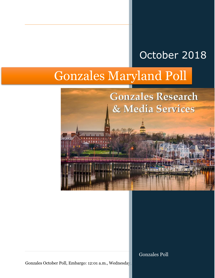## October 2018

# Gonzales Maryland Poll



Gonzales Poll

Gonzales October Poll, Embargo: 12:01 a.m., Wednesda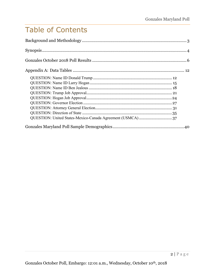### Table of Contents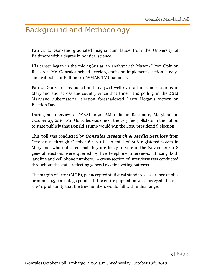### <span id="page-2-0"></span>Background and Methodology

Patrick E. Gonzales graduated magna cum laude from the University of Baltimore with a degree in political science.

His career began in the mid 1980s as an analyst with Mason-Dixon Opinion Research. Mr. Gonzales helped develop, craft and implement election surveys and exit polls for Baltimore's WMAR-TV Channel 2.

Patrick Gonzales has polled and analyzed well over a thousand elections in Maryland and across the country since that time. His polling in the 2014 Maryland gubernatorial election foreshadowed Larry Hogan's victory on Election Day.

During an interview at WBAL 1090 AM radio in Baltimore, Maryland on October 27, 2016, Mr. Gonzales was one of the very few pollsters in the nation to state publicly that Donald Trump would win the 2016 presidential election.

This poll was conducted by *Gonzales Research & Media Services* from October 1<sup>st</sup> through October 6<sup>th</sup>, 2018. A total of 806 registered voters in Maryland, who indicated that they are likely to vote in the November 2018 general election, were queried by live telephone interviews, utilizing both landline and cell phone numbers. A cross-section of interviews was conducted throughout the state, reflecting general election voting patterns.

The margin of error (MOE), per accepted statistical standards, is a range of plus or minus 3.5 percentage points. If the entire population was surveyed, there is a 95% probability that the true numbers would fall within this range.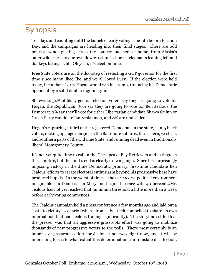### <span id="page-3-0"></span>Synopsis

Ten days and counting until the launch of early voting, a month before Election Day, and the campaigns are heading into their final stages. There are odd political winds gusting across the country and here at home, from Alaska's outer wilderness to our own downy oshun's shores…elephants leaning left and donkeys listing right. Oh yeah, it's election time.

Free State voters are on the doorstep of reelecting a GOP governor for the first time since many liked Ike, and we all loved Lucy. If the election were held today, incumbent Larry Hogan would win in a romp, trouncing his Democratic opponent by a solid double-digit margin.

Statewide, 54% of likely general election voters say they are going to vote for Hogan, the Republican, 36% say they are going to vote for Ben Jealous, the Democrat, 2% say they'll vote for either Libertarian candidate Shawn Quinn or Green Party candidate Ian Schlakman, and 8% are undecided.

Hogan's capturing a third of the registered Democrats in the state, 1-in-5 black voters, racking up huge margins in the Baltimore suburbs, the eastern, western, and southern parts of the Old Line State, and running dead even in traditionally liberal Montgomery County.

It's not yet quite time to call in the Chesapeake Bay Retrievers and extinguish the campfire, but the hunt's end is clearly drawing nigh. Since his surprisingly imposing victory in the June Democratic primary, first-time candidate Ben Jealous' efforts to create electoral enthusiasm beyond his progressive base have produced bupkis. In the worst of times - the *very worst* political environment imaginable – a Democrat in Maryland begins the race with 40 percent…Mr. Jealous has not yet reached that minimum threshold a little more than a week before early voting commences.

The Jealous campaign held a press conference a few months ago and laid out a "path to victory" scenario (where, ironically, it felt compelled to share its own internal poll that had Jealous trailing significantly). The storyline set forth at the presser was that an aggressive grassroots effort was going to mobilize thousands of new progressive voters to the polls. There most certainly is an impressive grassroots effort for Jealous underway right now, and it will be interesting to see to what extent this determination can translate disaffection,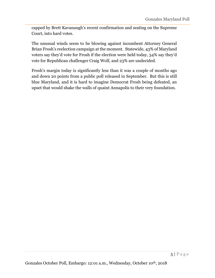capped by Brett Kavanaugh's recent confirmation and seating on the Supreme Court, into hard votes.

The unusual winds seem to be blowing against incumbent Attorney General Brian Frosh's reelection campaign at the moment. Statewide, 43% of Maryland voters say they'd vote for Frosh if the election were held today, 34% say they'd vote for Republican challenger Craig Wolf, and 23% are undecided.

Frosh's margin today is significantly less than it was a couple of months ago and down 20 points from a public poll released in September. But this is still blue Maryland, and it is hard to imagine Democrat Frosh being defeated, an upset that would shake the walls of quaint Annapolis to their very foundation.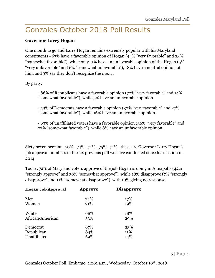### <span id="page-5-0"></span>Gonzales October 2018 Poll Results

### **Governor Larry Hogan**

One month to go and Larry Hogan remains extremely popular with his Maryland constituents - 67% have a favorable opinion of Hogan (44% "very favorable" and 23% "somewhat favorable"), while only 11% have an unfavorable opinion of the Hogan (5% "very unfavorable" and 6% "somewhat unfavorable"), 18% have a neutral opinion of him, and 3% say they don't recognize the *name*.

By party:

• - 86% of Republicans have a favorable opinion (72% "very favorable" and 14% "somewhat favorable"), while 5% have an unfavorable opinion.

• - 59% of Democrats have a favorable opinion (32% "very favorable" and 27% "somewhat favorable"), while 16% have an unfavorable opinion.

• - 63% of unaffiliated voters have a favorable opinion (36% "very favorable" and 27% "somewhat favorable"), while 8% have an unfavorable opinion.

Sixty-seven percent...70%...74%...71%...75%...71%...these are Governor Larry Hogan's job approval numbers in the six previous poll we have conducted since his election in 2014.

Today, 72% of Maryland voters approve of the job Hogan is doing in Annapolis (42% "strongly approve" and 30% "somewhat approve"), while 18% disapprove (7% "strongly disapprove" and 11% "somewhat disapprove"), with 10% giving no response.

| <b>Hogan Job Approval</b> | <u>Approve</u> | <b>Disapprove</b> |
|---------------------------|----------------|-------------------|
| Men                       | 74%            | 17%               |
| Women                     | 71%            | 19%               |
| White                     | 68%            | 18%               |
| African-American          | 53%            | 29%               |
| Democrat                  | 67%            | 23%               |
| Republican                | 84%            | 11%               |
| Unaffiliated              | 69%            | 14%               |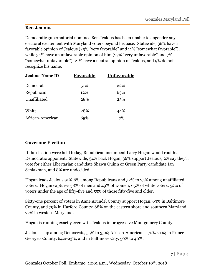### **Ben Jealous**

Democratic gubernatorial nominee Ben Jealous has been unable to engender any electoral excitement with Maryland voters beyond his base. Statewide, 36% have a favorable opinion of Jealous (25% "very favorable" and 11% "somewhat favorable"), while 34% have an unfavorable opinion of him (27% "very unfavorable" and 7% "somewhat unfavorable"), 21% have a neutral opinion of Jealous, and 9% do not recognize his name.

| <b>Jealous Name ID</b> | Favorable | Unfavorable |
|------------------------|-----------|-------------|
| Democrat               | 51\%      | 22%         |
| Republican             | 12%       | 63%         |
| Unaffiliated           | 28%       | 23%         |
| White                  | 28%       | 44%         |
| African-American       | 65%       | 7%          |

### **Governor Election**

If the election were held today, Republican incumbent Larry Hogan would rout his Democratic opponent. Statewide, 54% back Hogan, 36% support Jealous, 2% say they'll vote for either Libertarian candidate Shawn Quinn or Green Party candidate Ian Schlakman, and 8% are undecided.

Hogan leads Jealous 91%-6% among Republicans and 52% to 25% among unaffiliated voters. Hogan captures 58% of men and 49% of women; 65% of white voters; 52% of voters under the age of fifty-five and 55% of those fifty-five and older.

Sixty-one percent of voters in Anne Arundel County support Hogan, 63% in Baltimore County, and 79% in Harford County; 68% on the eastern shore and southern Maryland; 72% in western Maryland.

Hogan is running exactly even with Jealous in progressive Montgomery County.

Jealous is up among Democrats, 55% to 35%; African-Americans, 70%-21%; in Prince George's County, 64%-23%; and in Baltimore City, 50% to 40%.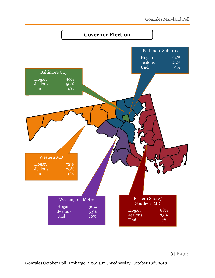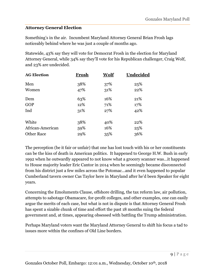### **Attorney General Election**

Something's in the air. Incumbent Maryland Attorney General Brian Frosh lags noticeably behind where he was just a couple of months ago.

Statewide, 43% say they will vote for Democrat Frosh in the election for Maryland Attorney General, while 34% say they'll vote for his Republican challenger, Craig Wolf, and 23% are undecided.

| Frosh | Wolf | Undecided |
|-------|------|-----------|
| 38%   | 37%  | 25%       |
| 47%   | 31%  | 22%       |
| 63%   | 16%  | 21%       |
| 12%   | 71%  | 17%       |
| 31\%  | 27%  | 42%       |
| 38%   | 40%  | 22%       |
| 59%   | 16%  | 25%       |
| 29%   | 35%  | 36%       |
|       |      |           |

The perception (be it fair or unfair) that one has lost touch with his or her constituents can be the kiss of death in American politics. It happened to George H.W. Bush in early 1992 when he outwardly appeared to not know what a grocery scanner was…it happened to House majority leader Eric Cantor in 2014 when he seemingly became disconnected from his district just a few miles across the Potomac…and it even happened to popular Cumberland tavern owner Cas Taylor here in Maryland after he'd been Speaker for eight years.

Concerning the Emoluments Clause, offshore drilling, the tax reform law, air pollution, attempts to sabotage Obamacare, for-profit colleges, and other examples, one can easily argue the merits of each case, but what is not in dispute is that Attorney General Frosh has spent a sizable chunk of time and effort the past 18 months suing the federal government and, at times, appearing obsessed with battling the Trump administration.

Perhaps Maryland voters want the Maryland Attorney General to shift his focus a tad to issues more within the confines of Old Line borders.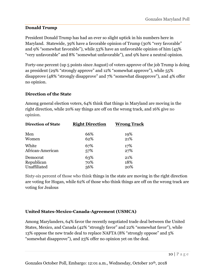### **Donald Trump**

President Donald Trump has had an ever so slight uptick in his numbers here in Maryland. Statewide, 39% have a favorable opinion of Trump (30% "very favorable" and 9% "somewhat favorable"), while 53% have an unfavorable opinion of him (45% "very unfavorable" and 8% "somewhat unfavorable"), and 9% have a neutral opinion.

Forty-one percent (up 5 points since August) of voters approve of the job Trump is doing as president (29% "strongly approve" and 12% "somewhat approve"), while 55% disapprove (48% "strongly disapprove" and 7% "somewhat disapprove"), and 4% offer no opinion.

### **Direction of the State**

Among general election voters, 64% think that things in Maryland are moving in the right direction, while 20% say things are off on the wrong track, and 16% give no opinion.

| <b>Direction of State</b> | <b>Right Direction</b> | <b>Wrong Track</b> |
|---------------------------|------------------------|--------------------|
| Men                       | 66%                    | 19%                |
| Women                     | 62%                    | 21%                |
| White                     | 67%                    | 17%                |
| African-American          | 57%                    | 27%                |
| Democrat                  | 63%                    | 21%                |
| Republican                | 70%                    | 18%                |
| Unaffiliated              | 56%                    | 20%                |

Sixty-six percent of those who think things in the state are moving in the right direction are voting for Hogan, while 62% of those who think things are off on the wrong track are voting for Jealous

### **United States-Mexico-Canada-Agreement (USMCA)**

Among Marylanders, 64% favor the recently negotiated trade deal between the United States, Mexico, and Canada (42% "strongly favor" and 22% "somewhat favor"), while 13% oppose the new trade deal to replace NAFTA (8% "strongly oppose" and 5% "somewhat disapprove"), and 23% offer no opinion yet on the deal.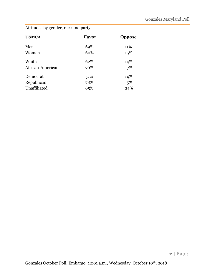Attitudes by gender, race and party:

| Favor | <b>Oppose</b> |
|-------|---------------|
| 69%   | 11%           |
| 60%   | 15%           |
| 62%   | 14%           |
| 70%   | 7%            |
| 57%   | 14%           |
| 78%   | 5%            |
| 65%   | 24%           |
|       |               |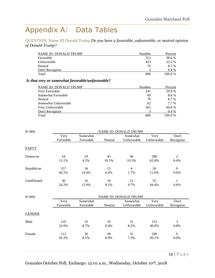### <span id="page-11-0"></span>Appendix A: Data Tables

<span id="page-11-1"></span>QUESTION: Name ID Donald Trump *Do you have a favorable, unfavorable, or neutral opinion of Donald Trump?*

| NAME ID: DONALD TRUMP | Number | Percent |
|-----------------------|--------|---------|
| Favorable             | 311    | 38.6 %  |
| Unfavorable           | 423    | 52.5 %  |
| Neutral               | 70     | 8.7 %   |
| Don't Recognize       |        | $0.4\%$ |
| Total                 | 806    | 100.0%  |

#### *Is that very or somewhat favorable/unfavorable?*

| NAME ID: DONALD TRUMP | Number | Percent |
|-----------------------|--------|---------|
| Very Favorable        | 241    | 29.9 %  |
| Somewhat Favorable    | 69     | 8.6 %   |
| Neutral               | 70     | 8.7 %   |
| Somewhat Unfavorable  | 62     | 7.7 %   |
| Very Unfavorable      | 361    | 44.8%   |
| Don't Recognize       |        | $0.4\%$ |
| Total                 | 806    | 100.0%  |

| $N = 806$     |                   | <b>NAME ID: DONALD TRUMP</b> |             |                         |                     |                                                                            |  |
|---------------|-------------------|------------------------------|-------------|-------------------------|---------------------|----------------------------------------------------------------------------|--|
|               | Very              | Somewhat                     |             | Somewhat                | Very                | Don't                                                                      |  |
|               | Favorable         | Favorable                    | Neutral     | Unfavorable             | Unfavorable         | Recognize                                                                  |  |
| <b>PARTY</b>  |                   |                              |             |                         |                     |                                                                            |  |
| Democrat      | 54<br>12.1%       | 19<br>4.3%                   | 45<br>10.1% | 46<br>10.3%             | 280<br>62.8%        | $\overline{2}$<br>0.4%                                                     |  |
| Republican    | 157<br>66.5%      | 34<br>14.4%                  | 15<br>6.4%  | $\overline{4}$<br>1.7%  | 26<br>11.0%         | $\overline{0}$<br>0.0%                                                     |  |
| Unaffiliated  | 30<br>24.2%       | 16<br>12.9%                  | 10<br>8.1%  | 12<br>9.7%              | 55<br>44.4%         | $\mathbf{1}$<br>0.8%                                                       |  |
| $N = 806$     |                   | <b>NAME ID: DONALD TRUMP</b> |             |                         |                     |                                                                            |  |
|               | Very<br>Favorable | Somewhat<br>Favorable        | Neutral     | Somewhat<br>Unfavorable | Very<br>Unfavorable | Don't<br>Recognize                                                         |  |
| <b>GENDER</b> |                   |                              |             |                         |                     |                                                                            |  |
| Male          | 129<br>33.9%      | 33<br>8.7%                   | 32<br>8.4%  | 31<br>8.2%              | 152<br>40.0%        | 3<br>0.8%                                                                  |  |
| Female        | 112<br>26.3%      | 36<br>8.5%                   | 38<br>8.9%  | 31<br>7.3%              | 209<br>49.1%        | $\boldsymbol{0}$<br>0.0%                                                   |  |
|               |                   |                              |             |                         |                     | $\overline{A}$ $\overline{D}$ $\overline{D}$ $\overline{Q}$ $\overline{Q}$ |  |

Gonzales October Poll, Embargo: 12:01 a.m., Wednesday, October 10th, 2018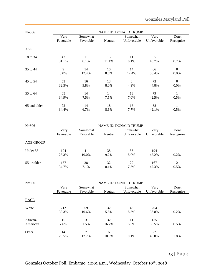| $N = 806$    |             |             |             | <b>NAME ID: DONALD TRUMP</b> |             |                          |
|--------------|-------------|-------------|-------------|------------------------------|-------------|--------------------------|
|              | Very        | Somewhat    |             | Somewhat                     | Very        | Don't                    |
|              | Favorable   | Favorable   | Neutral     | Unfavorable                  | Unfavorable | Recognize                |
| AGE          |             |             |             |                              |             |                          |
| 18 to 34     | 42<br>31.1% | 11<br>8.1%  | 15<br>11.1% | 11<br>8.1%                   | 55<br>40.7% | 0.7%                     |
| 35 to 44     | 9<br>8.0%   | 14<br>12.4% | 10<br>8.8%  | 14<br>12.4%                  | 66<br>58.4% | $\boldsymbol{0}$<br>0.0% |
| 45 to 54     | 53<br>32.5% | 16<br>9.8%  | 13<br>8.0%  | 8<br>4.9%                    | 73<br>44.8% | $\Omega$<br>0.0%         |
| 55 to 64     | 65<br>34.9% | 14<br>7.5%  | 14<br>7.5%  | 13<br>7.0%                   | 79<br>42.5% | 0.5%                     |
| 65 and older | 72<br>34.4% | 14<br>6.7%  | 18<br>8.6%  | 16<br>7.7%                   | 88<br>42.1% | 1<br>0.5%                |

| $N = 806$        |                   |                       |            | <b>NAME ID: DONALD TRUMP</b> |                     |                    |
|------------------|-------------------|-----------------------|------------|------------------------------|---------------------|--------------------|
|                  | Very<br>Favorable | Somewhat<br>Favorable | Neutral    | Somewhat<br>Unfavorable      | Very<br>Unfavorable | Don't<br>Recognize |
| <b>AGE GROUP</b> |                   |                       |            |                              |                     |                    |
| Under 55         | 104<br>25.3%      | 41<br>10.0%           | 38<br>9.2% | 33<br>8.0%                   | 194<br>47.2%        | 0.2%               |
| 55 or older      | 137<br>34.7%      | 28<br>7.1%            | 32<br>8.1% | 29<br>7.3%                   | 167<br>42.3%        | 2<br>0.5%          |

| $N = 806$            | NAME ID: DONALD TRUMP |                       |             |                         |                     |                    |
|----------------------|-----------------------|-----------------------|-------------|-------------------------|---------------------|--------------------|
|                      | Very<br>Favorable     | Somewhat<br>Favorable | Neutral     | Somewhat<br>Unfavorable | Very<br>Unfavorable | Don't<br>Recognize |
| <b>RACE</b>          |                       |                       |             |                         |                     |                    |
| White                | 212<br>38.3%          | 59<br>10.6%           | 32<br>5.8%  | 46<br>8.3%              | 204<br>36.8%        | 0.2%               |
| African-<br>American | 15<br>7.6%            | 3<br>1.5%             | 32<br>16.2% | 11<br>5.6%              | 135<br>68.5%        | 0.5%               |
| Other                | 14<br>25.5%           | 7<br>12.7%            | 6<br>10.9%  | 5<br>9.1%               | 22<br>40.0%         | 1<br>1.8%          |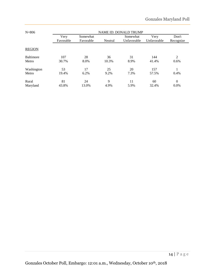| $N = 806$        | <b>NAME ID: DONALD TRUMP</b> |                       |         |                         |                     |                    |  |  |
|------------------|------------------------------|-----------------------|---------|-------------------------|---------------------|--------------------|--|--|
|                  | Very<br>Favorable            | Somewhat<br>Favorable | Neutral | Somewhat<br>Unfavorable | Very<br>Unfavorable | Don't<br>Recognize |  |  |
| <b>REGION</b>    |                              |                       |         |                         |                     |                    |  |  |
| <b>Baltimore</b> | 107                          | 28                    | 36      | 31                      | 144                 | 2                  |  |  |
| Metro            | 30.7%                        | 8.0%                  | 10.3%   | 8.9%                    | 41.4%               | 0.6%               |  |  |
| Washington       | 53                           | 17                    | 25      | 20                      | 157                 |                    |  |  |
| Metro            | 19.4%                        | 6.2%                  | 9.2%    | 7.3%                    | 57.5%               | 0.4%               |  |  |
| Rural            | 81                           | 24                    | 9       | 11                      | 60                  | $\overline{0}$     |  |  |
| Maryland         | 43.8%                        | 13.0%                 | 4.9%    | 5.9%                    | 32.4%               | $0.0\%$            |  |  |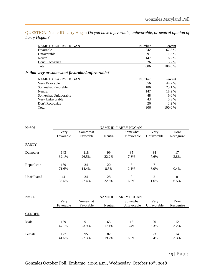<span id="page-14-0"></span>QUESTION: Name ID Larry Hogan *Do you have a favorable, unfavorable, or neutral opinion of Larry Hogan?*

| <b>NAME ID: LARRY HOGAN</b>                     | Number | Percent |
|-------------------------------------------------|--------|---------|
| Favorable                                       | 542    | 67.3 %  |
| Unfavorable                                     | 91     | 11.3 %  |
| Neutral                                         | 147    | 18.2 %  |
| Don't Recognize                                 | 26     | 3.2 %   |
| Total                                           | 806    | 100.0%  |
| Is that very or somewhat favorable/unfavorable? |        |         |

| <b>NAME ID: LARRY HOGAN</b> | Number | Percent |
|-----------------------------|--------|---------|
| Very Favorable              | 356    | 44.2 %  |
| Somewhat Favorable          | 186    | 23.1 %  |
| Neutral                     | 147    | 18.2 %  |
| Somewhat Unfavorable        | 48     | $6.0\%$ |
| Very Unfavorable            | 43     | 5.3 %   |
| Don't Recognize             | 26     | 3.2 %   |
| Total                       | 806    | 100.0 % |

| $N = 806$    | <b>NAME ID: LARRY HOGAN</b> |              |             |             |                        |            |  |  |
|--------------|-----------------------------|--------------|-------------|-------------|------------------------|------------|--|--|
|              | Very                        | Somewhat     |             | Somewhat    | Very                   | Don't      |  |  |
|              | Favorable                   | Favorable    | Neutral     | Unfavorable | Unfavorable            | Recognize  |  |  |
| <b>PARTY</b> |                             |              |             |             |                        |            |  |  |
| Democrat     | 143<br>32.1%                | 118<br>26.5% | 99<br>22.2% | 35<br>7.8%  | 34<br>7.6%             | 17<br>3.8% |  |  |
| Republican   | 169<br>71.6%                | 34<br>14.4%  | 20<br>8.5%  | 5<br>2.1%   | 7<br>3.0%              | 0.4%       |  |  |
| Unaffiliated | 44<br>35.5%                 | 34<br>27.4%  | 28<br>22.6% | 8<br>6.5%   | $\overline{2}$<br>1.6% | 8<br>6.5%  |  |  |

| $N = 806$     | <b>NAME ID: LARRY HOGAN</b> |                       |             |                         |                     |                    |  |  |
|---------------|-----------------------------|-----------------------|-------------|-------------------------|---------------------|--------------------|--|--|
|               | Very<br>Favorable           | Somewhat<br>Favorable | Neutral     | Somewhat<br>Unfavorable | Very<br>Unfavorable | Don't<br>Recognize |  |  |
| <b>GENDER</b> |                             |                       |             |                         |                     |                    |  |  |
| Male          | 179<br>47.1%                | 91<br>23.9%           | 65<br>17.1% | 13<br>3.4%              | 20<br>5.3%          | 12<br>3.2%         |  |  |
| Female        | 177<br>41.5%                | 95<br>22.3%           | 82<br>19.2% | 35<br>8.2%              | 23<br>5.4%          | 14<br>3.3%         |  |  |
|               |                             |                       |             |                         |                     |                    |  |  |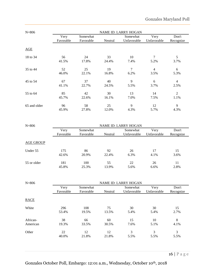| $N = 806$    | <b>NAME ID: LARRY HOGAN</b> |           |         |             |                |                |  |
|--------------|-----------------------------|-----------|---------|-------------|----------------|----------------|--|
|              | Very                        | Somewhat  |         | Somewhat    | Very           | Don't          |  |
|              | Favorable                   | Favorable | Neutral | Unfavorable | Unfavorable    | Recognize      |  |
| AGE          |                             |           |         |             |                |                |  |
| 18 to 34     | 56                          | 24        | 33      | 10          | 7              | 5              |  |
|              | 41.5%                       | 17.8%     | 24.4%   | 7.4%        | 5.2%           | 3.7%           |  |
| 35 to 44     | 52                          | 25        | 19      | 7           | $\overline{4}$ | 6              |  |
|              | 46.0%                       | 22.1%     | 16.8%   | 6.2%        | 3.5%           | 5.3%           |  |
| 45 to 54     | 67                          | 37        | 40      | 9           | 6              | $\overline{4}$ |  |
|              | 41.1%                       | 22.7%     | 24.5%   | 5.5%        | 3.7%           | 2.5%           |  |
| 55 to 64     | 85                          | 42        | 30      | 13          | 14             | $\overline{2}$ |  |
|              | 45.7%                       | 22.6%     | 16.1%   | 7.0%        | 7.5%           | 1.1%           |  |
| 65 and older | 96                          | 58        | 25      | 9           | 12             | 9              |  |
|              | 45.9%                       | 27.8%     | 12.0%   | 4.3%        | 5.7%           | 4.3%           |  |

| $N = 806$        | <b>NAME ID: LARRY HOGAN</b> |                       |             |                         |                     |                    |  |  |
|------------------|-----------------------------|-----------------------|-------------|-------------------------|---------------------|--------------------|--|--|
|                  | Very<br>Favorable           | Somewhat<br>Favorable | Neutral     | Somewhat<br>Unfavorable | Very<br>Unfavorable | Don't<br>Recognize |  |  |
| <b>AGE GROUP</b> |                             |                       |             |                         |                     |                    |  |  |
| Under 55         | 175<br>42.6%                | 86<br>20.9%           | 92<br>22.4% | 26<br>6.3%              | 17<br>4.1%          | 15<br>3.6%         |  |  |
| 55 or older      | 181<br>45.8%                | 100<br>25.3%          | 55<br>13.9% | 22<br>5.6%              | 26<br>6.6%          | 11<br>2.8%         |  |  |

| $N = 806$   | <b>NAME ID: LARRY HOGAN</b> |                       |         |                         |                     |                    |  |
|-------------|-----------------------------|-----------------------|---------|-------------------------|---------------------|--------------------|--|
|             | Very<br>Favorable           | Somewhat<br>Favorable | Neutral | Somewhat<br>Unfavorable | Very<br>Unfavorable | Don't<br>Recognize |  |
| <b>RACE</b> |                             |                       |         |                         |                     |                    |  |
| White       | 296                         | 108                   | 75      | 30                      | 30                  | 15                 |  |
|             | 53.4%                       | 19.5%                 | 13.5%   | 5.4%                    | 5.4%                | 2.7%               |  |
| African-    | 38                          | 66                    | 60      | 15                      | 10                  | 8                  |  |
| American    | 19.3%                       | 33.5%                 | 30.5%   | 7.6%                    | 5.1%                | 4.1%               |  |
| Other       | 22                          | 12                    | 12      | 3                       | 3                   | 3                  |  |
|             | 40.0%                       | 21.8%                 | 21.8%   | 5.5%                    | 5.5%                | 5.5%               |  |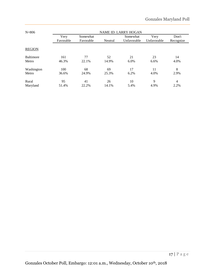| $N = 806$        | <b>NAME ID: LARRY HOGAN</b> |                       |         |                         |                     |                    |  |
|------------------|-----------------------------|-----------------------|---------|-------------------------|---------------------|--------------------|--|
|                  | Very<br>Favorable           | Somewhat<br>Favorable | Neutral | Somewhat<br>Unfavorable | Very<br>Unfavorable | Don't<br>Recognize |  |
| <b>REGION</b>    |                             |                       |         |                         |                     |                    |  |
| <b>Baltimore</b> | 161                         | 77                    | 52      | 21                      | 23                  | 14                 |  |
| Metro            | 46.3%                       | 22.1%                 | 14.9%   | 6.0%                    | 6.6%                | 4.0%               |  |
| Washington       | 100                         | 68                    | 69      | 17                      | 11                  | 8                  |  |
| Metro            | 36.6%                       | 24.9%                 | 25.3%   | 6.2%                    | 4.0%                | 2.9%               |  |
| Rural            | 95                          | 41                    | 26      | 10                      | 9                   | 4                  |  |
| Maryland         | 51.4%                       | 22.2%                 | 14.1%   | 5.4%                    | 4.9%                | 2.2%               |  |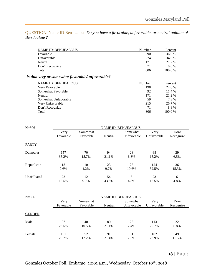<span id="page-17-0"></span>QUESTION: Name ID Ben Jealous *Do you have a favorable, unfavorable, or neutral opinion of Ben Jealous?*

| <b>NAME ID: BEN JEALOUS</b> | Number | Percent |
|-----------------------------|--------|---------|
| Favorable                   | 290    | 36.0%   |
| Unfavorable                 | 274    | 34.0 %  |
| Neutral                     | 171    | 21.2 %  |
| Don't Recognize             | 71     | 8.8%    |
| Total                       | 806    | 100.0%  |

#### *Is that very or somewhat favorable/unfavorable?*

| <b>NAME ID: BEN JEALOUS</b> | Number | Percent |
|-----------------------------|--------|---------|
| Very Favorable              | 198    | 24.6 %  |
| Somewhat Favorable          | 92     | 11.4 %  |
| Neutral                     | 171    | 21.2 %  |
| Somewhat Unfavorable        | 59     | 7.3 %   |
| Very Unfavorable            | 215    | 26.7 %  |
| Don't Recognize             | 71     | 8.8%    |
| Total                       | 806    | 100.0%  |

| $N = 806$    | <b>NAME ID: BEN JEALOUS</b> |             |             |             |              |             |  |  |
|--------------|-----------------------------|-------------|-------------|-------------|--------------|-------------|--|--|
|              | Very                        | Somewhat    |             | Somewhat    | Very         | Don't       |  |  |
|              | Favorable                   | Favorable   | Neutral     | Unfavorable | Unfavorable  | Recognize   |  |  |
| <b>PARTY</b> |                             |             |             |             |              |             |  |  |
| Democrat     | 157<br>35.2%                | 70<br>15.7% | 94<br>21.1% | 28<br>6.3%  | 68<br>15.2%  | 29<br>6.5%  |  |  |
| Republican   | 18<br>7.6%                  | 10<br>4.2%  | 23<br>9.7%  | 25<br>10.6% | 124<br>52.5% | 36<br>15.3% |  |  |
| Unaffiliated | 23<br>18.5%                 | 12<br>9.7%  | 54<br>43.5% | 6<br>4.8%   | 23<br>18.5%  | 6<br>4.8%   |  |  |

| $N = 806$     |                   | <b>NAME ID: BEN JEALOUS</b> |             |                         |                     |                    |  |  |  |  |
|---------------|-------------------|-----------------------------|-------------|-------------------------|---------------------|--------------------|--|--|--|--|
|               | Very<br>Favorable | Somewhat<br>Favorable       | Neutral     | Somewhat<br>Unfavorable | Very<br>Unfavorable | Don't<br>Recognize |  |  |  |  |
| <b>GENDER</b> |                   |                             |             |                         |                     |                    |  |  |  |  |
| Male          | 97<br>25.5%       | 40<br>10.5%                 | 80<br>21.1% | 28<br>7.4%              | 113<br>29.7%        | 22<br>5.8%         |  |  |  |  |
| Female        | 101<br>23.7%      | 52<br>12.2%                 | 91<br>21.4% | 31<br>7.3%              | 102<br>23.9%        | 49<br>11.5%        |  |  |  |  |
|               |                   |                             |             |                         |                     | $\sim$ $-$         |  |  |  |  |

Gonzales October Poll, Embargo: 12:01 a.m., Wednesday, October 10th, 2018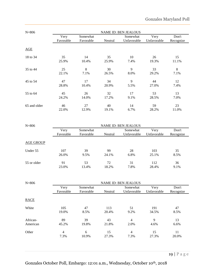| $N = 806$    | <b>NAME ID: BEN JEALOUS</b> |           |         |             |             |           |  |  |
|--------------|-----------------------------|-----------|---------|-------------|-------------|-----------|--|--|
|              | Very                        | Somewhat  |         | Somewhat    | Very        | Don't     |  |  |
|              | Favorable                   | Favorable | Neutral | Unfavorable | Unfavorable | Recognize |  |  |
| AGE          |                             |           |         |             |             |           |  |  |
| 18 to 34     | 35                          | 14        | 35      | 10          | 26          | 15        |  |  |
|              | 25.9%                       | 10.4%     | 25.9%   | 7.4%        | 19.3%       | 11.1%     |  |  |
| 35 to 44     | 25                          | 8         | 30      | 9           | 33          | 8         |  |  |
|              | 22.1%                       | 7.1%      | 26.5%   | 8.0%        | 29.2%       | 7.1%      |  |  |
| 45 to 54     | 47                          | 17        | 34      | 9           | 44          | 12        |  |  |
|              | 28.8%                       | 10.4%     | 20.9%   | 5.5%        | 27.0%       | 7.4%      |  |  |
| 55 to 64     | 45                          | 26        | 32      | 17          | 53          | 13        |  |  |
|              | 24.2%                       | 14.0%     | 17.2%   | 9.1%        | 28.5%       | 7.0%      |  |  |
| 65 and older | 46                          | 27        | 40      | 14          | 59          | 23        |  |  |
|              | 22.0%                       | 12.9%     | 19.1%   | 6.7%        | 28.2%       | 11.0%     |  |  |

| $N = 806$        | <b>NAME ID: BEN JEALOUS</b> |           |         |             |             |           |  |  |  |
|------------------|-----------------------------|-----------|---------|-------------|-------------|-----------|--|--|--|
|                  | Very                        | Somewhat  |         | Somewhat    | Very        | Don't     |  |  |  |
|                  | Favorable                   | Favorable | Neutral | Unfavorable | Unfavorable | Recognize |  |  |  |
|                  |                             |           |         |             |             |           |  |  |  |
| <b>AGE GROUP</b> |                             |           |         |             |             |           |  |  |  |
| Under 55         | 107                         | 39        | 99      | 28          | 103         | 35        |  |  |  |
|                  | 26.0%                       | 9.5%      | 24.1%   | 6.8%        | 25.1%       | 8.5%      |  |  |  |
| 55 or older      | 91                          | 53        | 72      | 31          | 112         | 36        |  |  |  |
|                  | 23.0%                       | 13.4%     | 18.2%   | 7.8%        | 28.4%       | 9.1%      |  |  |  |

| $N = 806$   | <b>NAME ID: BEN JEALOUS</b> |                       |         |                         |                     |                    |  |  |
|-------------|-----------------------------|-----------------------|---------|-------------------------|---------------------|--------------------|--|--|
|             | Very<br>Favorable           | Somewhat<br>Favorable | Neutral | Somewhat<br>Unfavorable | Very<br>Unfavorable | Don't<br>Recognize |  |  |
| <b>RACE</b> |                             |                       |         |                         |                     |                    |  |  |
| White       | 105                         | 47                    | 113     | 51                      | 191                 | 47                 |  |  |
|             | 19.0%                       | 8.5%                  | 20.4%   | 9.2%                    | 34.5%               | 8.5%               |  |  |
| African-    | 89                          | 39                    | 43      | 4                       | 9                   | 13                 |  |  |
| American    | 45.2%                       | 19.8%                 | 21.8%   | 2.0%                    | 4.6%                | 6.6%               |  |  |
| Other       | 4                           | 6                     | 15      | 4                       | 15                  | 11                 |  |  |
|             | 7.3%                        | 10.9%                 | 27.3%   | 7.3%                    | 27.3%               | 20.0%              |  |  |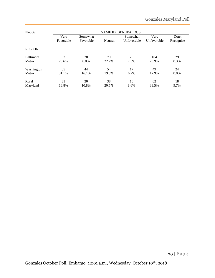| $N = 806$        | <b>NAME ID: BEN JEALOUS</b> |                       |         |                         |                     |                    |  |  |  |
|------------------|-----------------------------|-----------------------|---------|-------------------------|---------------------|--------------------|--|--|--|
|                  | Very<br>Favorable           | Somewhat<br>Favorable | Neutral | Somewhat<br>Unfavorable | Very<br>Unfavorable | Don't<br>Recognize |  |  |  |
| <b>REGION</b>    |                             |                       |         |                         |                     |                    |  |  |  |
| <b>Baltimore</b> | 82                          | 28                    | 79      | 26                      | 104                 | 29                 |  |  |  |
| Metro            | 23.6%                       | 8.0%                  | 22.7%   | 7.5%                    | 29.9%               | 8.3%               |  |  |  |
| Washington       | 85                          | 44                    | 54      | 17                      | 49                  | 24                 |  |  |  |
| Metro            | 31.1%                       | 16.1%                 | 19.8%   | 6.2%                    | 17.9%               | 8.8%               |  |  |  |
| Rural            | 31                          | 20                    | 38      | 16                      | 62                  | 18                 |  |  |  |
| Maryland         | 16.8%                       | 10.8%                 | 20.5%   | 8.6%                    | 33.5%               | 9.7%               |  |  |  |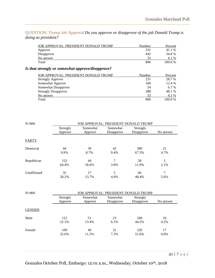<span id="page-20-0"></span>QUESTION: Trump Job Approval *Do you approve or disapprove of the job Donald Trump is doing as president?*

| JOB APPROVAL: PRESIDENT DONALD TRUMP | Number | Percent |
|--------------------------------------|--------|---------|
| Approve                              | 331    | 41.1 %  |
| Disapprove                           | 442    | 54.8%   |
| No answer                            | 33     | 4.1 %   |
| Total                                | 806    | 100.0%  |

#### *Is that strongly or somewhat approve/disapprove?*

| JOB APPROVAL: PRESIDENT DONALD TRUMP | Number | Percent |
|--------------------------------------|--------|---------|
| <b>Strongly Approve</b>              | 231    | 28.7 %  |
| Somewhat Approve                     | 100    | 12.4 %  |
| Somewhat Disapprove                  | 54     | $6.7\%$ |
| <b>Strongly Disapprove</b>           | 388    | 48.1 %  |
| No answer                            | 33     | 4.1 %   |
| Total                                | 806    | 100.0%  |

| $N = 806$     | JOB APPROVAL: PRESIDENT DONALD TRUMP |                     |                                      |                        |                        |  |  |
|---------------|--------------------------------------|---------------------|--------------------------------------|------------------------|------------------------|--|--|
|               | Strongly<br>Approve                  | Somewhat<br>Approve | Somewhat<br>Disapprove               | Strongly<br>Disapprove | No answer              |  |  |
| <b>PARTY</b>  |                                      |                     |                                      |                        |                        |  |  |
| Democrat      | 44<br>9.9%                           | 39<br>8.7%          | 42<br>9.4%                           | 300<br>67.3%           | 21<br>4.7%             |  |  |
| Republican    | 152<br>64.4%                         | 44<br>18.6%         | 7<br>3.0%                            | 28<br>11.9%            | 5<br>2.1%              |  |  |
| Unaffiliated  | 35<br>28.2%                          | 17<br>13.7%         | 5<br>4.0%                            | 60<br>48.4%            | $\overline{7}$<br>5.6% |  |  |
| $N = 806$     |                                      |                     | JOB APPROVAL: PRESIDENT DONALD TRUMP |                        |                        |  |  |
|               | Strongly<br>Approve                  | Somewhat<br>Approve | Somewhat<br>Disapprove               | Strongly<br>Disapprove | No answer              |  |  |
| <b>GENDER</b> |                                      |                     |                                      |                        |                        |  |  |
| Male          | 122<br>32.1%                         | 51<br>13.4%         | 23<br>6.1%                           | 168<br>44.2%           | 16<br>4.2%             |  |  |
| Female        | 109<br>25.6%                         | 49<br>11.5%         | 31<br>7.3%                           | 220<br>51.6%           | 17<br>4.0%             |  |  |
|               |                                      |                     |                                      |                        |                        |  |  |

Gonzales October Poll, Embargo: 12:01 a.m., Wednesday, October 10th, 2018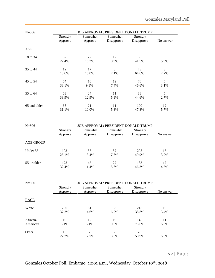| $N = 806$    |                     |                     | JOB APPROVAL: PRESIDENT DONALD TRUMP |                        |           |
|--------------|---------------------|---------------------|--------------------------------------|------------------------|-----------|
|              | Strongly<br>Approve | Somewhat<br>Approve | Somewhat<br>Disapprove               | Strongly<br>Disapprove | No answer |
| AGE          |                     |                     |                                      |                        |           |
| 18 to 34     | 37                  | 22                  | 12                                   | 56                     | 8         |
|              | 27.4%               | 16.3%               | 8.9%                                 | 41.5%                  | 5.9%      |
| 35 to 44     | 12                  | 17                  | 8                                    | 73                     | 3         |
|              | 10.6%               | 15.0%               | 7.1%                                 | 64.6%                  | 2.7%      |
| 45 to 54     | 54                  | 16                  | 12                                   | 76                     | 5         |
|              | 33.1%               | 9.8%                | 7.4%                                 | 46.6%                  | 3.1%      |
| 55 to 64     | 63                  | 24                  | 11                                   | 83                     | 5         |
|              | 33.9%               | 12.9%               | 5.9%                                 | 44.6%                  | 2.7%      |
| 65 and older | 65                  | 21                  | 11                                   | 100                    | 12        |
|              | 31.1%               | 10.0%               | 5.3%                                 | 47.8%                  | 5.7%      |

| $N = 806$        | <b>JOB APPROVAL: PRESIDENT DONALD TRUMP</b> |          |            |            |           |  |  |
|------------------|---------------------------------------------|----------|------------|------------|-----------|--|--|
|                  | Strongly                                    | Somewhat | Somewhat   | Strongly   |           |  |  |
|                  | Approve                                     | Approve  | Disapprove | Disapprove | No answer |  |  |
|                  |                                             |          |            |            |           |  |  |
| <b>AGE GROUP</b> |                                             |          |            |            |           |  |  |
| Under 55         | 103                                         | 55       | 32         | 205        | 16        |  |  |
|                  | 25.1%                                       | 13.4%    | 7.8%       | 49.9%      | 3.9%      |  |  |
| 55 or older      | 128                                         | 45       | 22         | 183        | 17        |  |  |
|                  | 32.4%                                       | 11.4%    | 5.6%       | 46.3%      | 4.3%      |  |  |

| $N = 806$   |                     |                     | JOB APPROVAL: PRESIDENT DONALD TRUMP |                        |           |
|-------------|---------------------|---------------------|--------------------------------------|------------------------|-----------|
|             | Strongly<br>Approve | Somewhat<br>Approve | Somewhat<br>Disapprove               | Strongly<br>Disapprove | No answer |
| <b>RACE</b> |                     |                     |                                      |                        |           |
| White       | 206                 | 81                  | 33                                   | 215                    | 19        |
|             | 37.2%               | 14.6%               | 6.0%                                 | 38.8%                  | 3.4%      |
| African-    | 10                  | 12                  | 19                                   | 145                    | 11        |
| American    | 5.1%                | 6.1%                | 9.6%                                 | 73.6%                  | 5.6%      |
| Other       | 15                  | 7                   | 2                                    | 28                     | 3         |
|             | 27.3%               | 12.7%               | 3.6%                                 | 50.9%                  | 5.5%      |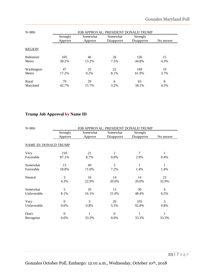| $N = 806$        | <b>JOB APPROVAL: PRESIDENT DONALD TRUMP</b> |                     |                        |                        |           |  |  |
|------------------|---------------------------------------------|---------------------|------------------------|------------------------|-----------|--|--|
|                  | Strongly<br>Approve                         | Somewhat<br>Approve | Somewhat<br>Disapprove | Strongly<br>Disapprove | No answer |  |  |
| <b>REGION</b>    |                                             |                     |                        |                        |           |  |  |
| <b>Baltimore</b> | 105                                         | 46                  | 26                     | 156                    | 15        |  |  |
| Metro            | 30.2%                                       | 13.2%               | 7.5%                   | 44.8%                  | 4.3%      |  |  |
| Washington       | 47                                          | 25                  | 22                     | 169                    | 10        |  |  |
| Metro            | 17.2%                                       | 9.2%                | 8.1%                   | 61.9%                  | 3.7%      |  |  |
| Rural            | 79                                          | 29                  | 6                      | 63                     | 8         |  |  |
| Maryland         | 42.7%                                       | 15.7%               | 3.2%                   | 34.1%                  | 4.3%      |  |  |

### **Trump Job Approval by Name ID**

| $N = 806$                    |                |          | <b>JOB APPROVAL: PRESIDENT DONALD TRUMP</b> |            |                |
|------------------------------|----------------|----------|---------------------------------------------|------------|----------------|
|                              | Strongly       | Somewhat | Somewhat                                    | Strongly   |                |
|                              | Approve        | Approve  | Disapprove                                  | Disapprove | No answer      |
| <b>NAME ID: DONALD TRUMP</b> |                |          |                                             |            |                |
| Very                         | 210            | 21       | 2                                           | 7          | 1              |
| Favorable                    | 87.1%          | 8.7%     | 0.8%                                        | 2.9%       | 0.4%           |
| Somewhat                     | 13             | 49       | 5                                           |            |                |
| Favorable                    | 18.8%          | 71.0%    | 7.2%                                        | 1.4%       | 1.4%           |
| Neutral                      | 3              | 16       | 14                                          | 14         | 23             |
|                              | 4.3%           | 22.9%    | 20.0%                                       | 20.0%      | 32.9%          |
| Somewhat                     | 5              | 10       | 13                                          | 30         | $\overline{4}$ |
| Unfavorable                  | 8.1%           | 16.1%    | 21.0%                                       | 48.4%      | 6.5%           |
| Very                         | $\overline{0}$ | 3        | 20                                          | 335        | 3              |
| Unfavorable                  | 0.0%           | 0.8%     | 5.5%                                        | 92.8%      | 0.8%           |
| Don't                        | $\overline{0}$ | 1        | $\mathbf{0}$                                |            | 1              |
| Recognize                    | 0.0%           | 33.3%    | 0.0%                                        | 33.3%      | 33.3%          |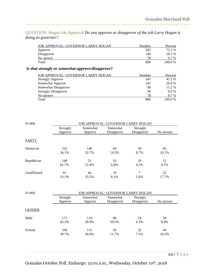<span id="page-23-0"></span>QUESTION: Hogan Job Approval *Do you approve or disapprove of the job Larry Hogan is doing as governor?*

| JOB APPROVAL: GOVERNOR LARRY HOGAN | Number | Percent |
|------------------------------------|--------|---------|
| Approve                            | 582    | 72.2 %  |
| Disapprove                         | 146    | 18.1 %  |
| No answer                          | 78     | 9.7 %   |
| Total                              | 806    | 100.0%  |
|                                    |        |         |

### *Is that strongly or somewhat approve/disapprove?*

| JOB APPROVAL: GOVERNOR LARRY HOGAN | Number | Percent |
|------------------------------------|--------|---------|
| <b>Strongly Approve</b>            | 341    | 42.3 %  |
| Somewhat Approve                   | 241    | 29.9 %  |
| Somewhat Disapprove                | 90     | 11.2 %  |
| <b>Strongly Disapprove</b>         | 56     | 6.9%    |
| No answer                          | 78     | 9.7 %   |
| Total                              | 806    | 100.0%  |

| Strongly | Somewhat | Somewhat   | Strongly       | No answer                                                                |  |  |  |
|----------|----------|------------|----------------|--------------------------------------------------------------------------|--|--|--|
| Approve  | Approve  | Disapprove | Disapprove     |                                                                          |  |  |  |
|          |          |            |                |                                                                          |  |  |  |
| 152      | 146      | 64         | 39             | 45                                                                       |  |  |  |
| 34.1%    | 32.7%    | 14.3%      | 8.7%           | 10.1%                                                                    |  |  |  |
| 148      | 51       | 16         | 10             | 11                                                                       |  |  |  |
| 62.7%    | 21.6%    | 6.8%       | 4.2%           | 4.7%                                                                     |  |  |  |
| 41       | 44       | 10         | $\overline{7}$ | 22                                                                       |  |  |  |
| 33.1%    | 35.5%    | 8.1%       | 5.6%           | 17.7%                                                                    |  |  |  |
|          |          |            |                |                                                                          |  |  |  |
| Strongly | Somewhat | Somewhat   | Strongly       | No answer                                                                |  |  |  |
| Approve  | Approve  | Disapprove | Disapprove     |                                                                          |  |  |  |
|          |          |            |                |                                                                          |  |  |  |
| 172      | 110      | 40         | 24             | 34                                                                       |  |  |  |
| 45.3%    | 28.9%    | 10.5%      | 6.3%           | 8.9%                                                                     |  |  |  |
| 169      | 131      | 50         | 32             | 44                                                                       |  |  |  |
| 39.7%    | 30.8%    | 11.7%      | 7.5%           | 10.3%                                                                    |  |  |  |
|          |          |            |                | JOB APPROVAL: GOVERNOR LARRY HOGAN<br>JOB APPROVAL: GOVERNOR LARRY HOGAN |  |  |  |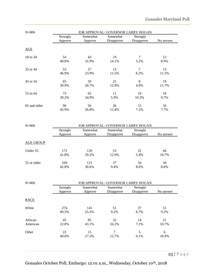| $N = 806$    |                     |                     | <b>JOB APPROVAL: GOVERNOR LARRY HOGAN</b> |                        |           |
|--------------|---------------------|---------------------|-------------------------------------------|------------------------|-----------|
|              | Strongly<br>Approve | Somewhat<br>Approve | Somewhat<br>Disapprove                    | Strongly<br>Disapprove | No answer |
| AGE          |                     |                     |                                           |                        |           |
| 18 to 34     | 54                  | 43                  | 19                                        | 7                      | 12        |
|              | 40.0%               | 31.9%               | 14.1%                                     | 5.2%                   | 8.9%      |
| 35 to 44     | 53                  | 27                  | 13                                        | 7                      | 13        |
|              | 46.9%               | 23.9%               | 11.5%                                     | 6.2%                   | 11.5%     |
| 45 to 54     | 65                  | 50                  | 21                                        | 8                      | 19        |
|              | 39.9%               | 30.7%               | 12.9%                                     | 4.9%                   | 11.7%     |
| 55 to 64     | 73                  | 65                  | 11                                        | 19                     | 18        |
|              | 39.2%               | 34.9%               | 5.9%                                      | 10.2%                  | 9.7%      |
| 65 and older | 96                  | 56                  | 26                                        | 15                     | 16        |
|              | 45.9%               | 26.8%               | 12.4%                                     | 7.2%                   | 7.7%      |

| $N = 806$        |          |          | <b>JOB APPROVAL: GOVERNOR LARRY HOGAN</b> |            |           |  |  |  |
|------------------|----------|----------|-------------------------------------------|------------|-----------|--|--|--|
|                  | Strongly | Somewhat | Somewhat                                  | Strongly   |           |  |  |  |
|                  | Approve  | Approve  | Disapprove                                | Disapprove | No answer |  |  |  |
|                  |          |          |                                           |            |           |  |  |  |
| <b>AGE GROUP</b> |          |          |                                           |            |           |  |  |  |
| Under 55         | 172      | 120      | 53                                        | 22         | 44        |  |  |  |
|                  | 41.8%    | 29.2%    | 12.9%                                     | 5.4%       | 10.7%     |  |  |  |
| 55 or older      | 169      | 121      | 37                                        | 34         | 34        |  |  |  |
|                  | 42.8%    | 30.6%    | 9.4%                                      | 8.6%       | 8.6%      |  |  |  |

| $N = 806$   |                     |                     | <b>JOB APPROVAL: GOVERNOR LARRY HOGAN</b> |                        |           |
|-------------|---------------------|---------------------|-------------------------------------------|------------------------|-----------|
|             | Strongly<br>Approve | Somewhat<br>Approve | Somewhat<br>Disapprove                    | Strongly<br>Disapprove | No answer |
| <b>RACE</b> |                     |                     |                                           |                        |           |
| White       | 274                 | 141                 | 51                                        | 37                     | 51        |
|             | 49.5%               | 25.5%               | 9.2%                                      | 6.7%                   | 9.2%      |
| African-    | 45                  | 85                  | 32                                        | 14                     | 21        |
| American    | 22.8%               | 43.1%               | 16.2%                                     | 7.1%                   | 10.7%     |
| Other       | 22                  | 15                  | 7                                         | 5                      | 6         |
|             | 40.0%               | 27.3%               | 12.7%                                     | 9.1%                   | 10.9%     |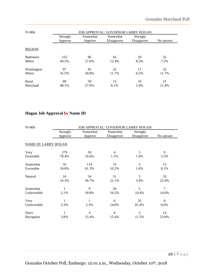| $N = 806$        |          |          | <b>JOB APPROVAL: GOVERNOR LARRY HOGAN</b> |            |           |  |  |  |
|------------------|----------|----------|-------------------------------------------|------------|-----------|--|--|--|
|                  | Strongly | Somewhat | Somewhat                                  | Strongly   |           |  |  |  |
|                  | Approve  | Approve  | Disapprove                                | Disapprove | No answer |  |  |  |
| <b>REGION</b>    |          |          |                                           |            |           |  |  |  |
| <b>Baltimore</b> | 155      | 96       | 43                                        | 29         | 25        |  |  |  |
| Metro            | 44.5%    | 27.6%    | 12.4%                                     | 8.3%       | 7.2%      |  |  |  |
| Washington       | 97       | 95       | 32                                        | 17         | 32        |  |  |  |
| Metro            | 35.5%    | 34.8%    | 11.7%                                     | 6.2%       | 11.7%     |  |  |  |
| Rural            | 89       | 50       | 15                                        | 10         | 21        |  |  |  |
| Maryland         | 48.1%    | 27.0%    | 8.1%                                      | 5.4%       | 11.4%     |  |  |  |

### **Hogan Job Approval by Name ID**

| $N = 806$                   |          |                | <b>JOB APPROVAL: GOVERNOR LARRY HOGAN</b> |            |              |  |  |  |
|-----------------------------|----------|----------------|-------------------------------------------|------------|--------------|--|--|--|
|                             | Strongly | Somewhat       | Somewhat                                  | Strongly   |              |  |  |  |
|                             | Approve  | Approve        | Disapprove                                | Disapprove | No answer    |  |  |  |
| <b>NAME ID: LARRY HOGAN</b> |          |                |                                           |            |              |  |  |  |
| Very                        | 279      | 59             | $\overline{4}$                            | 5          | 9            |  |  |  |
| Favorable                   | 78.4%    | 16.6%          | 1.1%                                      | 1.4%       | 2.5%         |  |  |  |
| Somewhat                    | 35       | 114            | 19                                        | 3          | 15           |  |  |  |
| Favorable                   | 18.8%    | 61.3%          | 10.2%                                     | 1.6%       | 8.1%         |  |  |  |
| Neutral                     | 24       | 54             | 31                                        | 5          | 33           |  |  |  |
|                             | 16.3%    | 36.7%          | 21.1%                                     | 3.4%       | 22.4%        |  |  |  |
| Somewhat                    |          | 9              | 26                                        | 5          | 7            |  |  |  |
| Unfavorable                 | 2.1%     | 18.8%          | 54.2%                                     | 10.4%      | 14.6%        |  |  |  |
| Very                        | 1        | 1              | 6                                         | 35         | $\mathbf{0}$ |  |  |  |
| Unfavorable                 | 2.3%     | 2.3%           | 14.0%                                     | 81.4%      | 0.0%         |  |  |  |
| Don't                       | 1        | $\overline{4}$ | $\overline{4}$                            | 3          | 14           |  |  |  |
| Recognize                   | 3.8%     | 15.4%          | 15.4%                                     | 11.5%      | 53.8%        |  |  |  |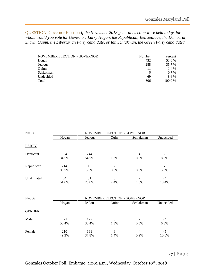<span id="page-26-0"></span>QUESTION: Governor Election *If the November 2018 general election were held today, for whom would you vote for Governor: Larry Hogan, the Republican; Ben Jealous, the Democrat; Shawn Quinn, the Libertarian Party candidate, or Ian Schlakman, the Green Party candidate?*

| <b>NOVEMBER ELECTION - GOVERNOR</b> | Number | Percent |
|-------------------------------------|--------|---------|
| Hogan                               | 432    | 53.6 %  |
| Jealous                             | 288    | 35.7 %  |
| Ouinn                               | 11     | 1.4 %   |
| Schlakman                           | 6      | $0.7\%$ |
| Undecided                           | 69     | 8.6 %   |
| Total                               | 806    | 100.0 % |

| $N = 806$     |                              |              | NOVEMBER ELECTION - GOVERNOR |                        |             |  |
|---------------|------------------------------|--------------|------------------------------|------------------------|-------------|--|
|               | Hogan                        | Jealous      | Quinn                        | Schlakman              | Undecided   |  |
| <b>PARTY</b>  |                              |              |                              |                        |             |  |
| Democrat      | 154<br>34.5%                 | 244<br>54.7% | 6<br>1.3%                    | 4<br>0.9%              | 38<br>8.5%  |  |
| Republican    | 214<br>90.7%                 | 13<br>5.5%   | 2<br>0.8%                    | $\Omega$<br>0.0%       | 7<br>3.0%   |  |
| Unaffiliated  | 64<br>51.6%                  | 31<br>25.0%  | 3<br>2.4%                    | 2<br>1.6%              | 24<br>19.4% |  |
| $N = 806$     | NOVEMBER ELECTION - GOVERNOR |              |                              |                        |             |  |
|               | Hogan                        | Jealous      | Quinn                        | Schlakman              | Undecided   |  |
| <b>GENDER</b> |                              |              |                              |                        |             |  |
| Male          | 222<br>58.4%                 | 127<br>33.4% | 5<br>1.3%                    | $\overline{2}$<br>0.5% | 24<br>6.3%  |  |
| Female        | 210<br>49.3%                 | 161<br>37.8% | 6<br>1.4%                    | $\overline{4}$<br>0.9% | 45<br>10.6% |  |
|               |                              |              |                              |                        |             |  |

Gonzales October Poll, Embargo: 12:01 a.m., Wednesday, October 10th, 2018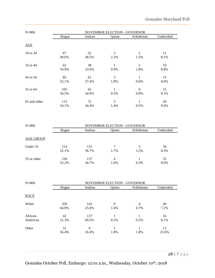| $N = 806$    |              | <b>NOVEMBER ELECTION - GOVERNOR</b> |           |                  |            |
|--------------|--------------|-------------------------------------|-----------|------------------|------------|
|              | Hogan        | Jealous                             | Quinn     | Schlakman        | Undecided  |
| AGE          |              |                                     |           |                  |            |
| 18 to 34     | 67<br>49.6%  | 52<br>38.5%                         | 3<br>2.2% | 2<br>1.5%        | 11<br>8.1% |
| 35 to 44     | 62<br>54.9%  | 38<br>33.6%                         | 0.9%      | 2<br>1.8%        | 10<br>8.8% |
| 45 to 54     | 85<br>52.1%  | 61<br>37.4%                         | 3<br>1.8% | 0.6%             | 13<br>8.0% |
| 55 to 64     | 105<br>56.5% | 65<br>34.9%                         | 1<br>0.5% | $\theta$<br>0.0% | 15<br>8.1% |
| 65 and older | 113<br>54.1% | 72<br>34.4%                         | 3<br>1.4% | 0.5%             | 20<br>9.6% |

| $N = 806$        | <b>NOVEMBER ELECTION - GOVERNOR</b> |              |                        |           |            |
|------------------|-------------------------------------|--------------|------------------------|-----------|------------|
|                  | Hogan                               | Jealous      | Ouinn                  | Schlakman | Undecided  |
| <b>AGE GROUP</b> |                                     |              |                        |           |            |
| Under 55         | 214<br>52.1%                        | 151<br>36.7% | 7<br>1.7%              | 5<br>1.2% | 34<br>8.3% |
| 55 or older      | 218<br>55.2%                        | 137<br>34.7% | $\overline{4}$<br>1.0% | 0.3%      | 35<br>8.9% |

| $N = 806$            |              | <b>NOVEMBER ELECTION - GOVERNOR</b> |           |                        |             |  |
|----------------------|--------------|-------------------------------------|-----------|------------------------|-------------|--|
|                      | Hogan        | Jealous                             | Ouinn     | Schlakman              | Undecided   |  |
| <b>RACE</b>          |              |                                     |           |                        |             |  |
| White                | 359<br>64.8% | 142<br>25.6%                        | 9<br>1.6% | $\overline{4}$<br>0.7% | 40<br>7.2%  |  |
| African-<br>American | 42<br>21.3%  | 137<br>69.5%                        | 0.5%      | 0.5%                   | 16<br>8.1%  |  |
| Other                | 31<br>56.4%  | 9<br>16.4%                          | 1.8%      | 1.8%                   | 13<br>23.6% |  |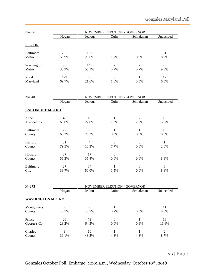| $N = 806$        | <b>NOVEMBER ELECTION - GOVERNOR</b> |         |       |           |           |
|------------------|-------------------------------------|---------|-------|-----------|-----------|
|                  | Hogan                               | Jealous | Quinn | Schlakman | Undecided |
| <b>REGION</b>    |                                     |         |       |           |           |
| <b>Baltimore</b> | 205                                 | 103     | 6     | 3         | 31        |
| Metro            | 58.9%                               | 29.6%   | 1.7%  | 0.9%      | 8.9%      |
| Washington       | 98                                  | 145     | 2     | 2         | 26        |
| Metro            | 35.9%                               | 53.1%   | 0.7%  | 0.7%      | 9.5%      |
| Rural            | 129                                 | 40      | 3     |           | 12        |
| Maryland         | 69.7%                               | 21.6%   | 1.6%  | 0.5%      | 6.5%      |

| $N = 348$              |       | <b>NOVEMBER ELECTION - GOVERNOR</b> |                |           |                |  |  |
|------------------------|-------|-------------------------------------|----------------|-----------|----------------|--|--|
|                        | Hogan | Jealous                             | Quinn          | Schlakman | Undecided      |  |  |
| <b>BALTIMORE METRO</b> |       |                                     |                |           |                |  |  |
| Anne                   | 48    | 18                                  |                | 2         | 10             |  |  |
| Arundel Co.            | 60.8% | 22.8%                               | 1.3%           | 2.5%      | 12.7%          |  |  |
| <b>Baltimore</b>       | 72    | 30                                  |                |           | 10             |  |  |
| County                 | 63.2% | 26.3%                               | 0.9%           | 0.9%      | 8.8%           |  |  |
| Harford                | 31    | 4                                   | 3              | $\Omega$  | 1              |  |  |
| County                 | 79.5% | 10.3%                               | 7.7%           | 0.0%      | 2.6%           |  |  |
| Howard                 | 27    | 17                                  | $\overline{0}$ | $\theta$  | $\overline{4}$ |  |  |
| County                 | 56.3% | 35.4%                               | 0.0%           | 0.0%      | 8.3%           |  |  |
| <b>Baltimore</b>       | 27    | 34                                  |                | $\Omega$  | 6              |  |  |
| City                   | 39.7% | 50.0%                               | 1.5%           | $0.0\%$   | 8.8%           |  |  |

| $N = 273$               |       | <b>NOVEMBER ELECTION - GOVERNOR</b> |          |           |                |  |  |
|-------------------------|-------|-------------------------------------|----------|-----------|----------------|--|--|
|                         | Hogan | Jealous                             | Ouinn    | Schlakman | Undecided      |  |  |
| <b>WASHINGTON METRO</b> |       |                                     |          |           |                |  |  |
| Montgomery              | 63    | 63                                  |          | $\Omega$  | 11             |  |  |
| County                  | 45.7% | 45.7%                               | 0.7%     | $0.0\%$   | 8.0%           |  |  |
| Prince                  | 26    | 72                                  | $\Omega$ |           | 13             |  |  |
| George's Co.            | 23.2% | 64.3%                               | $0.0\%$  | 0.9%      | 11.6%          |  |  |
| Charles                 | 9     | 10                                  |          |           | $\overline{2}$ |  |  |
| County                  | 39.1% | 43.5%                               | 4.3%     | 4.3%      | 8.7%           |  |  |
|                         |       |                                     |          |           |                |  |  |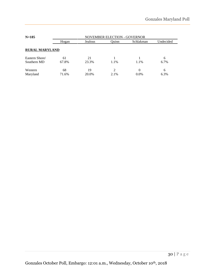| $N = 185$             | <b>NOVEMBER ELECTION - GOVERNOR</b> |         |       |           |           |
|-----------------------|-------------------------------------|---------|-------|-----------|-----------|
|                       | Hogan                               | Jealous | Ouinn | Schlakman | Undecided |
| <b>RURAL MARYLAND</b> |                                     |         |       |           |           |
| Eastern Shore/        | 61                                  | 21      |       |           | 6         |
| Southern MD           | 67.8%                               | 23.3%   | 1.1%  | 1.1%      | 6.7%      |
| Western               | 68                                  | 19      | 2     | 0         | 6         |
| Maryland              | 71.6%                               | 20.0%   | 2.1%  | $0.0\%$   | 6.3%      |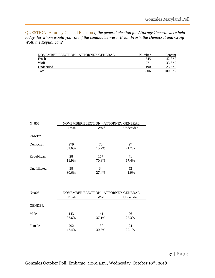<span id="page-30-0"></span>QUESTION: Attorney General Election *If the general election for Attorney General were held today, for whom would you vote if the candidates were: Brian Frosh, the Democrat and Craig Wolf, the Republican?* 

| NOVEMBER ELECTION - ATTORNEY GENERAL | Number | Percent |
|--------------------------------------|--------|---------|
| Frosh                                | 345    | 42.8%   |
| Wolf                                 | 271    | 33.6 %  |
| Undecided                            | 190    | 23.6 %  |
| Total                                | 806    | 100.0%  |

| $N = 806$    | NOVEMBER ELECTION - ATTORNEY GENERAL |       |           |  |  |
|--------------|--------------------------------------|-------|-----------|--|--|
|              | Frosh                                | Wolf  | Undecided |  |  |
| <b>PARTY</b> |                                      |       |           |  |  |
| Democrat     | 279                                  | 70    | 97        |  |  |
|              | 62.6%                                | 15.7% | 21.7%     |  |  |
| Republican   | 28                                   | 167   | 41        |  |  |
|              | 11.9%                                | 70.8% | 17.4%     |  |  |
| Unaffiliated | 38                                   | 34    | 52        |  |  |
|              | 30.6%                                | 27.4% | 41.9%     |  |  |

| $N = 806$     |              | NOVEMBER ELECTION - ATTORNEY GENERAL |             |  |  |  |
|---------------|--------------|--------------------------------------|-------------|--|--|--|
|               | Frosh        | Wolf                                 | Undecided   |  |  |  |
| <b>GENDER</b> |              |                                      |             |  |  |  |
| Male          | 143<br>37.6% | 141<br>37.1%                         | 96<br>25.3% |  |  |  |
| Female        | 202<br>47.4% | 130<br>30.5%                         | 94<br>22.1% |  |  |  |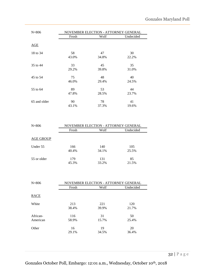| $N = 806$    | NOVEMBER ELECTION - ATTORNEY GENERAL |       |           |  |  |
|--------------|--------------------------------------|-------|-----------|--|--|
|              | Frosh                                | Wolf  | Undecided |  |  |
| AGE          |                                      |       |           |  |  |
| 18 to 34     | 58                                   | 47    | 30        |  |  |
|              | 43.0%                                | 34.8% | 22.2%     |  |  |
| 35 to 44     | 33                                   | 45    | 35        |  |  |
|              | 29.2%                                | 39.8% | 31.0%     |  |  |
| 45 to 54     | 75                                   | 48    | 40        |  |  |
|              | 46.0%                                | 29.4% | 24.5%     |  |  |
| 55 to 64     | 89                                   | 53    | 44        |  |  |
|              | 47.8%                                | 28.5% | 23.7%     |  |  |
| 65 and older | 90                                   | 78    | 41        |  |  |
|              | 43.1%                                | 37.3% | 19.6%     |  |  |

| $N = 806$   | NOVEMBER ELECTION - ATTORNEY GENERAL |              |              |  |  |
|-------------|--------------------------------------|--------------|--------------|--|--|
|             | Frosh                                | Wolf         | Undecided    |  |  |
| AGE GROUP   |                                      |              |              |  |  |
| Under 55    | 166<br>40.4%                         | 140<br>34.1% | 105<br>25.5% |  |  |
| 55 or older | 179<br>45.3%                         | 131<br>33.2% | 85<br>21.5%  |  |  |

| $N = 806$ | NOVEMBER ELECTION - ATTORNEY GENERAL |       |           |  |  |
|-----------|--------------------------------------|-------|-----------|--|--|
|           | Frosh                                | Wolf  | Undecided |  |  |
| RACE      |                                      |       |           |  |  |
|           |                                      |       |           |  |  |
| White     | 213                                  | 221   | 120       |  |  |
|           | 38.4%                                | 39.9% | 21.7%     |  |  |
| African-  | 116                                  | 31    | 50        |  |  |
| American  | 58.9%                                | 15.7% | 25.4%     |  |  |
| Other     | 16                                   | 19    | 20        |  |  |
|           | 29.1%                                | 34.5% | 36.4%     |  |  |

32 | P a g e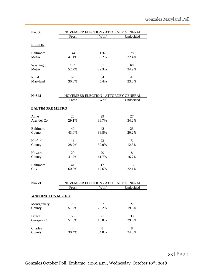| $N = 806$                  | Frosh        | NOVEMBER ELECTION - ATTORNEY GENERAL<br>Wolf | Undecided   |
|----------------------------|--------------|----------------------------------------------|-------------|
|                            |              |                                              |             |
| <b>REGION</b>              |              |                                              |             |
| <b>Baltimore</b>           | 144          | 126                                          | 78          |
| Metro                      | 41.4%        | 36.2%                                        | 22.4%       |
|                            |              |                                              |             |
| Washington<br>Metro        | 144<br>52.7% | 61<br>22.3%                                  | 68<br>24.9% |
|                            |              |                                              |             |
| Rural                      | 57           | 84                                           | 44          |
| Maryland                   | 30.8%        | 45.4%                                        | 23.8%       |
|                            |              |                                              |             |
| $N = 348$                  |              | NOVEMBER ELECTION - ATTORNEY GENERAL         |             |
|                            | Frosh        | Wolf                                         | Undecided   |
|                            |              |                                              |             |
| <b>BALTIMORE METRO</b>     |              |                                              |             |
| Anne                       | 23           | 29                                           | 27          |
| Arundel Co.                | 29.1%        | 36.7%                                        | 34.2%       |
|                            |              |                                              |             |
| <b>Baltimore</b><br>County | 49<br>43.0%  | 42<br>36.8%                                  | 23<br>20.2% |
|                            |              |                                              |             |
| Harford                    | 11           | 23                                           | 5           |
| County                     | 28.2%        | 59.0%                                        | 12.8%       |
| Howard                     | 20           | 20                                           | 8           |
| County                     | 41.7%        | 41.7%                                        | 16.7%       |
|                            |              |                                              |             |
| <b>Baltimore</b>           | 41           | 12                                           | 15          |
| City                       | 60.3%        | 17.6%                                        | 22.1%       |
|                            |              |                                              |             |
| $N = 273$                  |              | NOVEMBER ELECTION - ATTORNEY GENERAL         |             |
|                            | Frosh        | Wolf                                         | Undecided   |
|                            |              |                                              |             |
| <b>WASHINGTON METRO</b>    |              |                                              |             |
| Montgomery                 | 79           | 32                                           | 27          |
| County                     | 57.2%        | 23.2%                                        | 19.6%       |
|                            |              |                                              |             |
| Prince<br>George's Co.     | 58<br>51.8%  | 21<br>18.8%                                  | 33<br>29.5% |
|                            |              |                                              |             |
| Charles                    | 7            | $8\,$                                        | 8           |

County 30.4% 34.8% 34.8%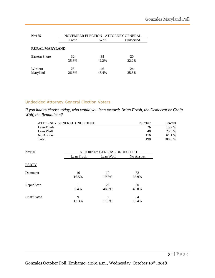| $N = 185$             | NOVEMBER ELECTION - ATTORNEY GENERAL |             |             |  |  |  |
|-----------------------|--------------------------------------|-------------|-------------|--|--|--|
|                       | Frosh                                | Wolf        | Undecided   |  |  |  |
| <b>RURAL MARYLAND</b> |                                      |             |             |  |  |  |
| <b>Eastern Shore</b>  | 32                                   | 38          | 20          |  |  |  |
|                       | 35.6%                                | 42.2%       | 22.2%       |  |  |  |
| Western<br>Maryland   | 25<br>26.3%                          | 46<br>48.4% | 24<br>25.3% |  |  |  |

#### Undecided Attorney General Election Voters

*If you had to choose today, who would you lean toward: Brian Frosh, the Democrat or Craig Wolf, the Republican?* 

| ATTORNEY GENERAL UNDECIDED | Number | Percent      |
|----------------------------|--------|--------------|
| Lean Frosh                 | 26     | 13.7 %       |
| Lean Wolf                  | 48     | 25.3 %       |
| No Answer                  | 116    | $\%$<br>61.1 |
| Total                      | 190    | $100.0\%$    |

| $N=190$      | ATTORNEY GENERAL UNDECIDED |           |           |  |
|--------------|----------------------------|-----------|-----------|--|
|              | Lean Frosh                 | Lean Wolf | No Answer |  |
| <b>PARTY</b> |                            |           |           |  |
| Democrat     | 16                         | 19        | 62        |  |
|              | 16.5%                      | 19.6%     | 63.9%     |  |
| Republican   | 1                          | 20        | 20        |  |
|              | 2.4%                       | 48.8%     | 48.8%     |  |
| Unaffiliated | 9                          | 9         | 34        |  |
|              | 17.3%                      | 17.3%     | 65.4%     |  |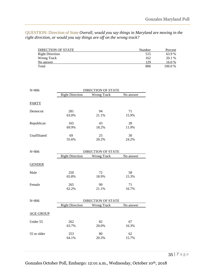<span id="page-34-0"></span>QUESTION: Direction of State *Overall, would you say things in Maryland are moving in the right direction, or would you say things are off on the wrong track?*

| DIRECTION OF STATE     | Number | Percent |
|------------------------|--------|---------|
| <b>Right Direction</b> | 515    | 63.9 %  |
| Wrong Track            | 162    | 20.1 %  |
| No answer              | 129    | 16.0 %  |
| Total                  | 806    | 100.0 % |

| $N = 806$        | <b>DIRECTION OF STATE</b> |                                                 |             |  |
|------------------|---------------------------|-------------------------------------------------|-------------|--|
|                  | <b>Right Direction</b>    | Wrong Track                                     | No answer   |  |
| <b>PARTY</b>     |                           |                                                 |             |  |
| Democrat         | 281<br>63.0%              | 94<br>21.1%                                     | 71<br>15.9% |  |
| Republican       | 165<br>69.9%              | 43<br>18.2%                                     | 28<br>11.9% |  |
| Unaffiliated     | 69<br>55.6%               | 25<br>20.2%                                     | 30<br>24.2% |  |
| $N = 806$        | <b>Right Direction</b>    | <b>DIRECTION OF STATE</b><br><b>Wrong Track</b> | No answer   |  |
| <b>GENDER</b>    |                           |                                                 |             |  |
| Male             | 250<br>65.8%              | 72<br>18.9%                                     | 58<br>15.3% |  |
| Female           | 265<br>62.2%              | 90<br>21.1%                                     | 71<br>16.7% |  |
| $N = 806$        | <b>Right Direction</b>    | DIRECTION OF STATE<br><b>Wrong Track</b>        | No answer   |  |
| <b>AGE GROUP</b> |                           |                                                 |             |  |
| Under 55         | 262<br>63.7%              | 82<br>20.0%                                     | 67<br>16.3% |  |
| 55 or older      | 253<br>64.1%              | 80<br>20.3%                                     | 62<br>15.7% |  |
|                  |                           |                                                 |             |  |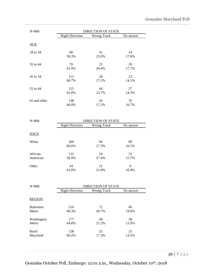| $N = 806$    |                        | <b>DIRECTION OF STATE</b> |           |
|--------------|------------------------|---------------------------|-----------|
|              | <b>Right Direction</b> | <b>Wrong Track</b>        | No answer |
| AGE          |                        |                           |           |
| 18 to 34     | 80                     | 31                        | 24        |
|              | 59.3%                  | 23.0%                     | 17.8%     |
| 35 to 44     | 70                     | 23                        | 20        |
|              | 61.9%                  | 20.4%                     | 17.7%     |
| 45 to 54     | 112                    | 28                        | 23        |
|              | 68.7%                  | 17.2%                     | 14.1%     |
| 55 to 64     | 115                    | 44                        | 27        |
|              | 61.8%                  | 23.7%                     | 14.5%     |
| 65 and older | 138                    | 36                        | 35        |
|              | 66.0%                  | 17.2%                     | 16.7%     |
| $N = 806$    |                        | <b>DIRECTION OF STATE</b> |           |

| $N = 800$ |                        | DIRECTION OF STATE |             |  |  |
|-----------|------------------------|--------------------|-------------|--|--|
|           | <b>Right Direction</b> | Wrong Track        | No answer   |  |  |
| RACE      |                        |                    |             |  |  |
| White     | 369<br>66.6%           | 96<br>17.3%        | 89<br>16.1% |  |  |
| African-  | 112                    | 54                 | 31          |  |  |
| American  | 56.9%                  | 27.4%              | 15.7%       |  |  |
| Other     | 34                     | 12                 | 9           |  |  |
|           | 61.8%                  | 21.8%              | 16.4%       |  |  |

| $N = 806$        |                        | <b>DIRECTION OF STATE</b> |           |
|------------------|------------------------|---------------------------|-----------|
|                  | <b>Right Direction</b> | Wrong Track               | No answer |
| <b>REGION</b>    |                        |                           |           |
| <b>Baltimore</b> | 210                    | 72                        | 66        |
| Metro            | 60.3%                  | 20.7%                     | 19.0%     |
| Washington       | 177                    | 58                        | 38        |
| Metro            | 64.8%                  | 21.2%                     | 13.9%     |
| Rural            | 128                    | 32                        | 25        |
| Maryland         | 69.2%                  | 17.3%                     | 13.5%     |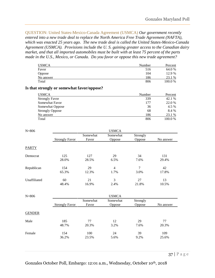<span id="page-36-0"></span>QUESTION: United States-Mexico-Canada Agreement (USMCA) *Our government recently entered into a new trade deal to replace the North America Free Trade Agreement (NAFTA), which was enacted 25 years ago. The new trade deal is called the United States-Mexico-Canada Agreement (USMCA). Provisions include the U. S. gaining greater access to the Canadian dairy market, and that all imported automobiles must be built with at least 75 percent of the parts made in the U.S., Mexico, or Canada. Do you favor or oppose this new trade agreement?*

| <b>USMCA</b> | Number | Percent |
|--------------|--------|---------|
| Favor        | 516    | 64.0 %  |
| Oppose       | 104    | 12.9 %  |
| No answer    | 186    | 23.1 %  |
| Total        | 806    | 100.0%  |

#### **Is that strongly or somewhat favor/oppose?**

| <b>USMCA</b>           | Number | Percent |
|------------------------|--------|---------|
| <b>Strongly Favor</b>  | 339    | 42.1 %  |
| Somewhat Favor         | 177    | 22.0 %  |
| Somewhat Oppose        | 36     | 4.5 %   |
| <b>Strongly Oppose</b> | 68     | 8.4 %   |
| No answer              | 186    | 23.1 %  |
| Total                  | 806    | 100.0%  |

| $N = 806$     |                       |                   | <b>USMCA</b>           |                        |              |
|---------------|-----------------------|-------------------|------------------------|------------------------|--------------|
|               | <b>Strongly Favor</b> | Somewhat<br>Favor | Somewhat<br>Oppose     | Strongly<br>Oppose     | No answer    |
| <b>PARTY</b>  |                       |                   |                        |                        |              |
| Democrat      | 125<br>28.0%          | 127<br>28.5%      | 29<br>6.5%             | 34<br>7.6%             | 131<br>29.4% |
| Republican    | 154<br>65.3%          | 29<br>12.3%       | $\overline{4}$<br>1.7% | $\overline{7}$<br>3.0% | 42<br>17.8%  |
| Unaffiliated  | 60<br>48.4%           | 21<br>16.9%       | 3<br>2.4%              | 27<br>21.8%            | 13<br>10.5%  |
| $N = 806$     |                       |                   | <b>USMCA</b>           |                        |              |
|               | <b>Strongly Favor</b> | Somewhat<br>Favor | Somewhat<br>Oppose     | Strongly<br>Oppose     | No answer    |
| <b>GENDER</b> |                       |                   |                        |                        |              |
| Male          | 185<br>48.7%          | 77<br>20.3%       | 12<br>3.2%             | 29<br>7.6%             | 77<br>20.3%  |
| Female        | 154<br>36.2%          | 100<br>23.5%      | 24<br>5.6%             | 39<br>9.2%             | 109<br>25.6% |
|               |                       |                   |                        |                        | $37$   Page  |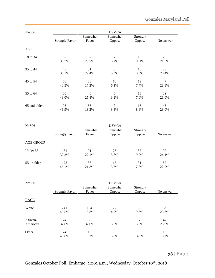| $N = 806$    |                       |          | <b>USMCA</b>   |          |           |
|--------------|-----------------------|----------|----------------|----------|-----------|
|              |                       | Somewhat | Somewhat       | Strongly |           |
|              | <b>Strongly Favor</b> | Favor    | Oppose         | Oppose   | No answer |
| AGE          |                       |          |                |          |           |
| 18 to 34     | 52                    | 32       | 7              | 15       | 29        |
|              | 38.5%                 | 23.7%    | 5.2%           | 11.1%    | 21.5%     |
| 35 to 44     | 43                    | 31       | 6              | 10       | 23        |
|              | 38.1%                 | 27.4%    | 5.3%           | 8.8%     | 20.4%     |
| 45 to 54     | 66                    | 28       | 10             | 12       | 47        |
|              | 40.5%                 | 17.2%    | 6.1%           | 7.4%     | 28.8%     |
| 55 to 64     | 80                    | 48       | 6              | 13       | 39        |
|              | 43.0%                 | 25.8%    | 3.2%           | 7.0%     | 21.0%     |
| 65 and older | 98                    | 38       | $\overline{7}$ | 18       | 48        |
|              | 46.9%                 | 18.2%    | 3.3%           | 8.6%     | 23.0%     |

| $N = 806$        |                       | <b>USMCA</b>      |                           |                    |             |  |
|------------------|-----------------------|-------------------|---------------------------|--------------------|-------------|--|
|                  | <b>Strongly Favor</b> | Somewhat<br>Favor | Somewhat<br><b>Oppose</b> | Strongly<br>Oppose | No answer   |  |
| <b>AGE GROUP</b> |                       |                   |                           |                    |             |  |
| Under 55         | 161<br>39.2%          | 91<br>22.1%       | 23<br>5.6%                | 37<br>9.0%         | 99<br>24.1% |  |
| 55 or older      | 178<br>45.1%          | 86<br>21.8%       | 13<br>3.3%                | 31<br>7.8%         | 87<br>22.0% |  |

| $N = 806$            |                       |                   | <b>USMCA</b>       |                    |              |
|----------------------|-----------------------|-------------------|--------------------|--------------------|--------------|
|                      | <b>Strongly Favor</b> | Somewhat<br>Favor | Somewhat<br>Oppose | Strongly<br>Oppose | No answer    |
| <b>RACE</b>          |                       |                   |                    |                    |              |
| White                | 241<br>43.5%          | 104<br>18.8%      | 27<br>4.9%         | 53<br>9.6%         | 129<br>23.3% |
| African-<br>American | 74<br>37.6%           | 63<br>32.0%       | 6<br>3.0%          | 7<br>3.6%          | 47<br>23.9%  |
| Other                | 24<br>43.6%           | 10<br>18.2%       | 3<br>5.5%          | 8<br>14.5%         | 10<br>18.2%  |
|                      |                       |                   |                    |                    |              |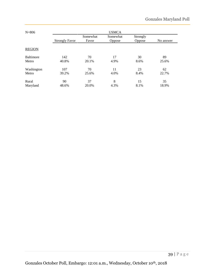| $N = 806$        |                       |                   | <b>USMCA</b>              |                    |           |
|------------------|-----------------------|-------------------|---------------------------|--------------------|-----------|
|                  | <b>Strongly Favor</b> | Somewhat<br>Favor | Somewhat<br><b>Oppose</b> | Strongly<br>Oppose | No answer |
| <b>REGION</b>    |                       |                   |                           |                    |           |
| <b>Baltimore</b> | 142                   | 70                | 17                        | 30                 | 89        |
| Metro            | 40.8%                 | 20.1%             | 4.9%                      | 8.6%               | 25.6%     |
| Washington       | 107                   | 70                | 11                        | 23                 | 62        |
| Metro            | 39.2%                 | 25.6%             | 4.0%                      | 8.4%               | 22.7%     |
| Rural            | 90                    | 37                | 8                         | 15                 | 35        |
| Maryland         | 48.6%                 | 20.0%             | 4.3%                      | 8.1%               | 18.9%     |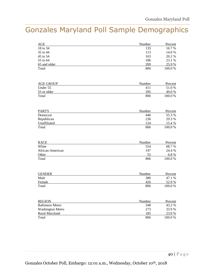### <span id="page-39-0"></span>Gonzales Maryland Poll Sample Demographics

| AGE          | Number | Percent |
|--------------|--------|---------|
| 18 to 34     | 135    | 16.7 %  |
| 35 to 44     | 113    | 14.0 %  |
| 45 to 54     | 163    | 20.2 %  |
| 55 to 64     | 186    | 23.1 %  |
| 65 and older | 209    | 25.9 %  |
| Total        | 806    | 100.0 % |

| <b>AGE GROUP</b> | Number | Percent |
|------------------|--------|---------|
| Under 55         | 41     | 51.0 %  |
| 55 or older      | 395    | 49.0 %  |
| Total            | 806    | 100.0%  |

| <b>PARTY</b> | Number | Percent |
|--------------|--------|---------|
| Democrat     | 446    | 55.3 %  |
| Republican   | 236    | 29.3 %  |
| Unaffiliated | 124    | 15.4 %  |
| Total        | 806    | 100.0 % |

| <b>RACE</b>      | Number | Percent |
|------------------|--------|---------|
| White            | 554    | 68.7 %  |
| African-American | 197    | 24.4 %  |
| Other            | 55     | 6.8%    |
| Total            | 806    | 100.0%  |

| <b>GENDER</b> | Number | Percent |
|---------------|--------|---------|
| Male          | 380    | 47.1 %  |
| Female        | 426    | 52.9 %  |
| Total         | 806    | 100.0 % |

| <b>REGION</b>           | Number | Percent |
|-------------------------|--------|---------|
| <b>Baltimore Metro</b>  | 348    | 43.2 %  |
| <b>Washington Metro</b> | 273    | 33.9%   |
| Rural Maryland          | 185    | 23.0 %  |
| Total                   | 806    | 100.0%  |